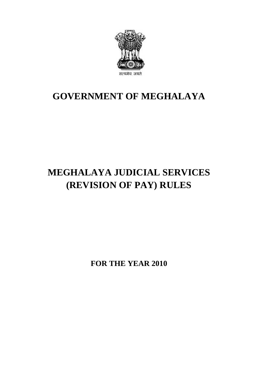

# **GOVERNMENT OF MEGHALAYA**

# **MEGHALAYA JUDICIAL SERVICES (REVISION OF PAY) RULES**

**FOR THE YEAR 2010**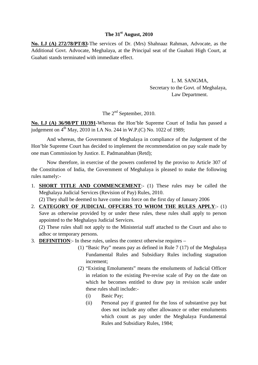#### **The 31st August, 2010**

**No. LJ (A) 272/78/PT/83**-The services of Dr. (Mrs) Shahnaaz Rahman, Advocate, as the Additional Govt. Advocate, Meghalaya, at the Principal seat of the Guahati High Court, at Guahati stands terminated with immediate effect.

> L. M. SANGMA, Secretary to the Govt. of Meghalaya, Law Department.

The 2<sup>nd</sup> September, 2010.

**No. LJ (A) 36/98/PT III/391**-Whereas the Hon'ble Supreme Court of India has passed a judgement on  $4^{th}$  May, 2010 in I.A No. 244 in W.P.(C) No. 1022 of 1989;

And whereas, the Government of Meghalaya in compliance of the Judgement of the Hon'ble Supreme Court has decided to implement the recommendation on pay scale made by one man Commission by Justice. E. Padmanabhan (Retd);

Now therefore, in exercise of the powers conferred by the proviso to Article 307 of And whereas, the Government of Meghalaya in compliance of the Judgement of the<br>Hon'ble Supreme Court has decided to implement the recommendation on pay scale made by<br>one man Commission by Justice. E. Padmanabhan (Retd);<br>No rules namely:- Now therefore, in exercise of the powers conferred by the proviso to Article 307 of<br>the Constitution of India, the Government of Meghalaya is pleased to make the following<br>rules namely:-<br>1. **SHORT TITLE AND COMMENCEMENT**:-

- Meghalaya Judicial Services (Revision of Pay) Rules, 2010.
- (2) They shall be deemed to have come into force on the first day of January 2006 THE **AND COMMENCEMENT**:- (1) These rules may be called the<br>
Meghalaya Judicial Services (Revision of Pay) Rules, 2010.<br>
(2) They shall be deemed to have come into force on the first day of January 2006<br>
2. **CATEGORY OF JUD** (2) They shall be deemed to have come into force on the first day of January 2006<br> **CATEGORY OF JUDICIAL OFFCERS TO WHOM THE RULES APPLY**:- (1)<br>
Save as otherwise provided by or under these rules, these rules shall apply

appointed to the Meghalaya Judicial Services. adhoc or temporary persons. Save as otherwise provided by or under these rules, these rules shall apply<br>appointed to the Meghalaya Judicial Services.<br>(2) These rules shall not apply to the Ministerial staff attached to the Court a<br>adhoc or temporary

- - (1) "Basic Pay" means pay as defined in Rule 7 (17) of the Meghalaya Fundamental Rules and Subsidiary Rules including stagnation increment;
	- (2) "Existing Emoluments" means the emoluments of Judicial Officer "Basic Pay" means pay as defined in Rule 7 (17) of the Meghalaya<br>Fundamental Rules and Subsidiary Rules including stagnation<br>increment;<br>"Existing Emoluments" means the emoluments of Judicial Officer<br>in relation to the exis which he becomes entitled to draw pay in revision scale under these rules shall include:- Existing Emoluments<br>
	in relation to the exist<br>
	which he becomes en<br>
	these rules shall include<br>
	(i) Basic Pay;<br>
	(ii) Personal pay if (i) in relation to the existing Pre-revise scale of Pay on the date on<br>which he becomes entitled to draw pay in revision scale under<br>these rules shall include:-<br>(i) Basic Pay;<br>(ii) Personal pay if granted for the loss of s
		-
		- does not include any other allowance or other emoluments which count as pay under the Meghalaya Fundamental Rules and Subsidiary Rules, 1984;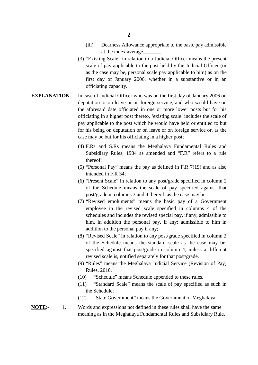- 2<br>
(iii) Dearness Allowance appropriate to the basic pay admissible<br>
at the index average<br>
<u>Community</u> at the index average\_\_\_\_\_\_\_.
- (3) "Existing Scale" in relation to a Judicial Officer means the present scale of pay applicable to the post held by the Judicial Officer (or as the case may be, personal scale pay applicable to him) as on the first day of January 2006, whether in a substantive or in an officiating capacity.
- **EXPLANATION** In case of Judicial Officer who was on the first day of January 2006 on as the case may be, personal scale pay applicable to him) as on the<br>first day of January 2006, whether in a substantive or in an<br>officiating capacity.<br>In case of Judicial Officer who was on the first day of January 2006 on the aforesaid date officiated in one or more lower posts but for his officiating in a higher post thereto, 'existing scale' includes the scale of pay applicable to the post which he would have held or entitled to but deputation or on leave or on foreign service, and who would have on<br>the aforesaid date officiated in one or more lower posts but for his<br>officiating in a higher post thereto, 'existing scale' includes the scale of<br>pay appl case may be but for his officiating in a higher post; for his being on deputation or on leave or on foreign service or, as the case may be but for his officiating in a higher post;<br>(4) F.Rs and S.Rs means the Meghalaya Fundamental Rules and
	- Subsidiary Rules, 1984 as amended and "F.R" refers to a rule thereof;
	- (5) "Personal Pay" means the pay as defined in F.R 7(19) and as also intended in F.R 34;
	- (6) "Present Scale" in relation to any post/grade specified in column 2 of the Schedule means the scale of pay specified against that post/grade in columns 3 and 4 thereof, as the case may be.
	- (7) "Revised emoluments" means the basic pay of a Government employee in the revised scale specified in columns 4 of the schedules and includes the revised special pay, if any, admissible to him, in addition the personal pay, if any; admissible to him in addition to the personal pay if any;
	- (8) "Revised Scale" in relation to any post/grade specified in column 2 of the Schedule means the standard scale as the case may be, specified against that post/grade in column 4, unless a different addition to the personal pay if any;<br>
	"Revised Scale" in relation to any post/grade specified in cof the Schedule means the standard scale as the case<br>
	specified against that post/grade in column 4, unless a<br>
	revised scale
	- (9) "Rules" means the Meghalaya Judicial Service (Revision of Pay) Rules, 2010.
	- (10) "Schedule" means Schedule appended to these rules.
	- (11) "Standard Scale" means the scale of pay specified as such in the Schedule;
	- (12) "State Government" means the Government of Meghalaya.
- (10) "Schedule" means Schedule appended to these rules.<br>
(11) "Standard Scale" means the scale of pay specified as such in<br>
the Schedule;<br>
(12) "State Government" means the Government of Meghalaya.<br> **NOTE**:-<br>
1. Words and Words and expressions not defined in these rules shall have the same meaning as in the Meghalaya Fundamental Rules and Subsidiary Rule.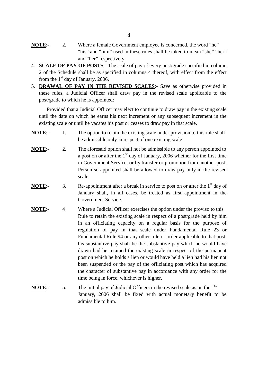- **13**<br>**NOTE**:- 2. Where a female Government employee is concerned, the word "he" "his" and "him" used in these rules shall be taken to mean "she" "her" "his" and "him" used in these rules shall be taken to mean "she" "her" and "her" respectively. **NOTE:** 2. Where a female Government employee is concerned, the word "he"<br>
"his" and "him" used in these rules shall be taken to mean "she" "her"<br>
and "her" respectively.<br>
4. **SCALE OF PAY OF POSTS**:- The scale of pay of e
- 2 of the Schedule shall be as specified in columns 4 thereof, with effect from the effect from the  $1<sup>st</sup>$  day of January, 2006. and "her" respectively.<br> **SCALE OF PAY OF POSTS**:- The scale of pay of every post/grade specified in column<br>
2 of the Schedule shall be as specified in columns 4 thereof, with effect from the effect<br>
from the 1<sup>st</sup> day of
- these rules, a Judicial Officer shall draw pay in the revised scale applicable to the post/grade to which he is appointed: In the 1<sup>st</sup> day of January, 2006.<br> **AWAL OF PAY IN THE REVISED SCALES**:- Save as otherwise provided in the reules, a Judicial Officer shall draw pay in the revised scale applicable to the t/grade to which he is appointed:

until the date on which he earns his next increment or any subsequent increment in the existing scale or until he vacates his post or ceases to draw pay in that scale. Provided that a Judicial Officer may elect to continue to draw pay in the existing scale<br>until the date on which he earns his next increment or any subsequent increment in the<br>existing scale or until he vacates his post or

- be admissible only in respect of one existing scale.
- **NOTE:**<br> **NOTE:**<br> **NOTE:**<br> **NOTE:**<br> **2.** The aforesaid option shall not be admissible to any person appointed to<br> **NOTE:**<br> **2.** The aforesaid option shall not be admissible to any person appointed to<br>
a post on or after t a post on or after the  $1<sup>st</sup>$  day of January, 2006 whether for the first time in Government Service, or by transfer or promotion from another post. Person so appointed shall be allowed to draw pay only in the revised scale. a post on or after the 1<sup>st</sup> day of January, 2006 whether for the first time<br>in Government Service, or by transfer or promotion from another post.<br>Person so appointed shall be allowed to draw pay only in the revised<br>scale.
- January shall, in all cases, be treated as first appointment in the Government Service. **NOTE**:- 3. Re-appointment after a break in service to post on or after the 1<sup>st</sup> day of January shall, in all cases, be treated as first appointment in the Government Service.<br>NOTE:- 4 Where a Judicial Officer exercises t
- Rule to retain the existing scale in respect of a post/grade held by him in an officiating capacity on a regular basis for the purpose of regulation of pay in that scale under Fundamental Rule 23 or Fundamental Rule 94 or any other rule or order applicable to that post, his substantive pay shall be the substantive pay which he would have drawn had he retained the existing scale in respect of the permanent post on which he holds a lien or would have held a lien had his lien not been suspended or the pay of the officiating post which has acquired the character of substantive pay in accordance with any order for the time being in force, whichever is higher. post on which he holds a lien or would have held a lien had his lien no<br>been suspended or the pay of the officiating post which has acquire<br>the character of substantive pay in accordance with any order for th<br>time being in
- January, 2006 shall be fixed with actual monetary benefit to be admissible to him.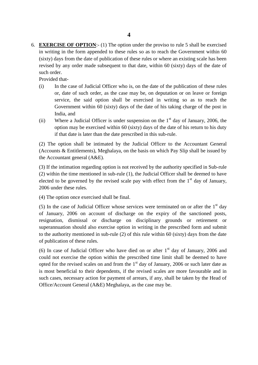6. **EXERCISE OF OPTION**:- (1) The option under the proviso to rule 5 shall be exercised in writing in the form appended to these rules so as to reach the Government within 60 (sixty) days from the date of publication of these rules or where an existing scale has been revised by any order made subsequent to th (sixty) days from the date of publication of these rules or where an existing scale has been<br>revised by any order made subsequent to that date, within 60 (sixty) days of the date of<br>such order.<br>Provided that-<br>(i) In the ca revised by any order made subsequent to that date, within 60 (sixty) days of the date of such order.

- or, date of such order, as the case may be, on deputation or on leave or foreign service, the said option shall be exercised in writing so as to reach the Government within 60 (sixty) days of the date of his taking charge of the post in India, and (ii) or, date of such order, as the case may be, on deputation or on leave or foreign service, the said option shall be exercised in writing so as to reach the Government within 60 (sixty) days of the date of his taking c
- option may be exercised within 60 (sixty) days of the date of his return to his duty if that date is later than the date prescribed in this sub-rule. India, and<br>
(ii) Where a Judicial Officer is under suspension on the 1<sup>st</sup> day of January, 2006, the<br>
option may be exercised within 60 (sixty) days of the date of his return to his duty<br>
if that date is later than the da

the Accountant general (A&E).

(3) If the intimation regarding option is not received by the authority specified in Sub-rule (2) within the time mentioned in sub-rule (1), the Judicial Officer shall be deemed to have elected to be governed by the revised scale pay with effect from the  $1<sup>st</sup>$  day of January, 2006 under these rules. (2) Whilm the thie inentioned in sto-face (1), the statefal Officer shall be decided to have elected to be governed by the revised scale pay with effect from the 1<sup>st</sup> day of January, 2006 under these rules.<br>(4) The optio

(4) The option once exercised shall be final.

(4) The option once exercised shall be final.<br>
(5) In the case of Judicial Officer whose services were terminated on or after the  $1<sup>st</sup>$  day<br>
of January, 2006 on account of discharge on the expiry of the sanctioned po superannuation should also exercise option in writing in the prescribed form and submit to the authority mentioned in sub-rule (2) of this rule within 60 (sixty) days from the date of publication of these rules. resignation, dismissal or discharge on disciplinary grounds or retirement or superannuation should also exercise option in writing in the prescribed form and submit to the authority mentioned in sub-rule (2) of this rule

could not exercise the option within the prescribed time limit shall be deemed to have opted for the revised scales on and from the  $1<sup>st</sup>$  day of January, 2006 or such later date as is most beneficial to their dependents, if the revised scales are more favourable and in such cases, necessary action for payment of arrears, if any, shall be taken by the Head of Office/Account General (A&E) Meghalaya, as the case may be.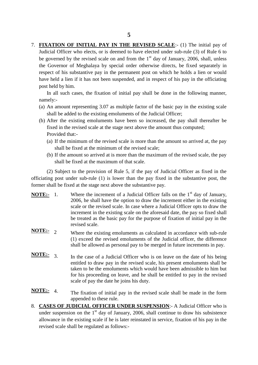7. **FIXATION OF INITIAL PAY IN THE REVISED SCALE**:- (1) The initial pay of Judicial Officer who elects, or is deemed to have elected under sub-rule (3) of Rule 6 to be governed by the revised scale on and from the  $1<sup>st</sup>$  day of January, 2006, shall, unless the Governor of Meghalaya by special order otherwise directs, be fixed separately in respect of his substantive pay in the permanent post on which he holds a lien or would have held a lien if it has not been suspended, and respect of his substantive pay in the permanent post on which he holds a lien or would have held a lien if it has not been suspended, and in respect of his pay in the officiating<br>post held by him.<br>In all such cases, the fixation of initial pay shall be done in the following manner,<br>namely:-<br>(a) An amount rep post held by him.

namely:-

- shall be added to the existing emoluments of the Judicial Officer;
- In all such cases, the fixation of initial pay shall be done in the following manner,<br>namely:-<br>(a) An amount representing 3.07 as multiple factor of the basic pay in the existing scale<br>shall be added to the existing emolum fixed in the revised scale at the stage next above the amount thus computed; Provided that:- Shall be added to the existing emoluments of the Judicial Officer;<br>After the existing emoluments have been so increased, the pay shall thereafter be<br>fixed in the revised scale at the stage next above the amount thus comput
	- shall be fixed at the minimum of the revised scale; (a) If the minimum of the revised scale is more than the amount so arrived at, the pay shall be fixed at the minimum of the revised scale;<br>(b) If the amount so arrived at is more than the maximum of the revised scale, the
	- shall be fixed at the maximum of that scale.

(2) Subject to the provision of Rule 5, if the pay of Judicial Officer as fixed in the shall be fixed at the minimum of the revised scale;<br>
(b) If the amount so arrived at is more than the maximum of the revised scale, the pay<br>
shall be fixed at the maximum of that scale.<br>
(2) Subject to the provision of Rul former shall be fixed at the stage next above the substantive pay. (2) Subject to the provision of Rule 5, if the pay of Judicial Officer as fixed in the officiating post under sub-rule (1) is lower than the pay fixed in the substantive post, the former shall be fixed at the stage next a

- 2006, he shall have the option to draw the increment either in the existing scale or the revised scale. In case where a Judicial Officer opts to draw the increment in the existing scale on the aforesaid date, the pay so fixed shall be treated as the basic pay for the purpose of fixation of initial pay in the revised scale.
- **NOTE:-** <sup>2</sup> Where the existing emoluments as calculated in accordance with sub-rule (1) exceed the revised emoluments of the Judicial officer, the difference shall be allowed as personal pay to be merged in future increments in pay.
- **NOTE:-** 3. In the case of a Judicial Officer who is on leave on the date of his being entitled to draw pay in the revised scale, his present emoluments shall be taken to be the emoluments which would have been admissible to him but for his proceeding on leave, and he shall be entitled to pay in the revised scale of pay the date he joins his duty.
- **NOTE:** 4. The fixation of initial pay in the revised scale shall be made in the form appended to these rule.
- For this proceeding on leave, and he shall be entitled to pay in the revised<br>scale of pay the date he joins his duty.<br>NoTE:- 4. The fixation of initial pay in the revised scale shall be made in the form<br>appended to these r **TE:-** 4. The fixation of initial pay in the revised scale shall be made in the form appended to these rule.<br>CASES OF JUDICIAL OFFICER UNDER SUSPENSION:- A Judicial Officer who is under suspension on the 1<sup>st</sup> day of Janu revised scale shall be regulated as follows:-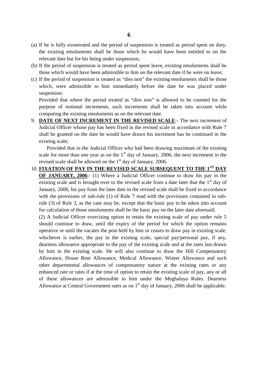- (a) If he is fully exonerated and the period of suspension is treated as period spent on duty, the existing emoluments shall be those which he would have been entitled to on the relevant date but for his being under suspension;
- (b) If the period of suspension is treated as period spent leave, existing emoluments shall be those which would have been admissible to him on the relevant date if he were on leave;
- (c) If the period of suspension is treated as "dies non" the existing emoluments shall be those which, were admissible to him immediately before the date he was placed under suspension:

Provided that where the period treated as "dies non" is allowed to be counted for the purpose of notional increments, such increments shall be taken into account while computing the existing emoluments as on the relevant date.

9. **DATE OF NEXT INCREMENT IN THE REVISED SCALE**:- The next increment of Judicial Officer whose pay has been fixed in the revised scale in accordance with Rule 7 shall be granted on the date he would have drawn his increme Provided that where the period treated as "dies non" is allowed to be counted for the purpose of notional increments, such increments shall be taken into account while computing the existing emoluments as on the relevant d purpose of notional increments, such increments shall be taken into account while computing the existing emoluments as on the relevant date.<br> **DATE OF NEXT INCREMENT IN THE REVISED SCALE**:- The next increment of Judicial O existing scale;

Provided that in the Judicial Officer who had been drawing maximum of the existing scale for more than one year as on the  $1<sup>st</sup>$  day of January, 2006, the next increment in the revised scale shall be allowed on the  $1<sup>st</sup>$  day of January, 2006.

10. **FIXATION OF PAY IN THE REVISED SCALE SUBSEQUENT TO THE 1ST DAY** Provided that in the Judicial Officer who had been drawing maximum of the existing scale for more than one year as on the 1<sup>st</sup> day of January, 2006, the next increment in the revised scale shall be allowed on the 1<sup>st</sup> d scale for more than one year as on the 1<sup>st</sup> day of January, 2006, the next increment in the<br>revised scale shall be allowed on the 1<sup>st</sup> day of January, 2006.<br>**FIXATION OF PAY IN THE REVISED SCALE SUBSEQUENT TO THE 1<sup>ST</sup>** January, 2006, his pay from the later date in the revised scale shall be fixed in accordance with the provisions of sub-rule (1) of Rule 7 read with the provisions contained in sub-**OF JANUARY, 2006**:- (1) Where a Judicial Officer continue to draw his pay in the existing scale and is brought over to the revised scale from a date later that the  $1<sup>st</sup>$  day of January, 2006, his pay from the later for calculation of those emoluments shall be the basic pay on the later date aforesaid.

(2) A Judicial Officer exercising option to retain the existing scale of pay under rule 5 with the provisions of sub-rule (1) of Rule 7 read with the provisions contained in sub-<br>rule (3) of Rule 3, as the case may be, except that the basic pay to be taken into account<br>for calculation of those emoluments shall operative or until the vacates the post held by him or ceases to draw pay in existing scale, whichever is earlier, the pay in the existing scale, special pay/personal pay, if any, (2) A Judicial Officer exercising option to retain the existing scale of pay under rule 5 should continue to draw, until the expiry of the period for which the option remains operative or until the vacates the post held by by him in the existing scale. He will also continue to draw the Hill Compensatory Allowance, House Rent Allowance, Medical Allowance, Winter Allowance and such other departmental allowances of compensatory nature at the existing rates or any enhanced rate or rates if at the time of option to retain the other departmental allowances of compensatory nature at the existing rates or any enhanced rate or rates if at the time of option to retain the existing scale of pay, any or all of these allowances are admissible to him under the Meghalaya Rules. Dearness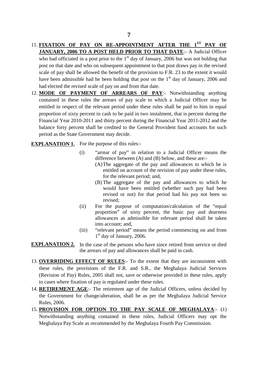- 11. **FIXATION OF PAY ON RE-APPOINTMENT AFTER THE 1ST PAY OF FIXATION OF PAY ON RE-APPOINTMENT AFTER THE 1<sup>ST</sup> PAY OF JANUARY, 2006 TO A POST HELD PRIOR TO THAT DATE:** - A Judicial Officer who had officiated in a post prior to the 1<sup>st</sup> day of January, 2006 but was not holding that **FIXATION OF PAY ON RE-APPOINTMENT AFTER THE 1<sup>ST</sup> PAY OF JANUARY, 2006 TO A POST HELD PRIOR TO THAT DATE:** A Judicial Officer who had officiated in a post prior to the 1<sup>st</sup> day of January, 2006 but was not holding that post on that date and who on subsequent appointment to that post draws pay in the revised scale of pay shall be allowed the benefit of the provision to F.R. 23 to the extent it would have been admissible had he been holding that post on the  $1<sup>st</sup>$  day of January, 2006 and had elected the revised scale of pay on and from that date. post on that date and who on subsequent appointment to that post draws pay in the revised<br>scale of pay shall be allowed the benefit of the provision to F.R. 23 to the extent it would<br>have been admissible had he been holdin
- contained in these rules the relation of the provision to F.R. 23 to the extent it would have been admissible had he been holding that post on the 1<sup>st</sup> day of January, 2006 and had elected the revised scale of pay on and entitled in respect of the relevant period under these rules shall be paid to him in equal proportion of sixty percent in cash to be paid in two instalment, that is percent during the MODE OF PAYMENT OF ARREARS OF PAY:- Notwithstanding anything<br>contained in these rules the arrears of pay scale to which a Judicial Officer may be<br>entitled in respect of the relevant period under these rules shall be paid t balance forty percent shall be credited to the General Provident fund accounts for such period as the State Government may decide.

**EXPLANATION 1.** For the purpose of this rules:-

- (i) "arrear of pay" in relation to a Judicial Officer means the difference between (A) and (B) below, and these are:-
- (A)The aggregate of the pay and allowances to which he is pose of this rules:-<br>
ear of pay" in relation to a Judicial Officer means the<br>
erence between (A) and (B) below, and these are:-<br>
The aggregate of the pay and allowances to which he is<br>
entitled on account of the revision for the relevant period; and, entitled on account of the revision of pay under these rules,<br>for the relevant period; and,<br>(B) The aggregate of the pay and allowances to which he
	- would have been entitled (whether such pay had been revised or not) for that period had his pay not been so revised;
- (ii) For the purpose of computation/calculation of the "equal proportion" of sixty percent, the basic pay and dearness allowances as admissible for relevant period shall be taken into account; and,
- (iii) "relevant period" means the period commencing on and from 1 st day of January, 2006.
- **EXPLANATION 2.** In the case of the persons who have since retired from service or died the arrears of pay and allowances shall be paid in cash.
- 1<sup>31</sup> day of January, 2006.<br> **EXPLANATION 2.** In the case of the persons who have since retired from service or died<br>
the arrears of pay and allowances shall be paid in cash.<br>
13. **OVERRIDING EFFECT OF RULES**:- To the exte these rules, the provisions of the F.R. and S.R., the Meghalaya Judicial Services **PLANATION 2.** In the case of the persons who have since retired from service or died<br>the arrears of pay and allowances shall be paid in cash.<br>**OVERRIDING EFFECT OF RULES**:- To the extent that they are inconsistent with<br>th to cases where fixation of pay is regulated under these rules. 14. **RETIREMENT AGE:**- The retirement age of the Judicial Officers, unless decided by the **RETIREMENT AGE:**- The retirement age of the Judicial Officers, unless decided by
- the Government for change/alteration, shall be as per the Meghalaya Judicial Service Rules, 2006.
- 15. **PROVISION FOR OPTION TO THE PAY SCALE OF MEGHALAYA**:- (1) Notwithstanding anything contained in these rules, Judicial Officers may opt the Meghalaya Pay Scale as recommended by the Meghalaya Fourth Pay Commission.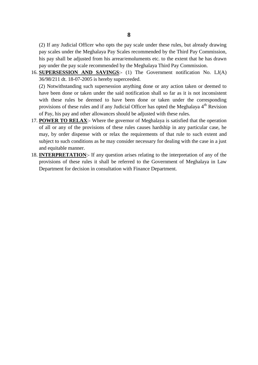(2) If any Judicial Officer who opts the pay scale under these rules, but already drawing <sup>2</sup> (2) If any Judicial Officer who opts the pay scale under these rules, but already drawing pay scales under the Meghalaya Pay Scales recommended by the Third Pay Commission, his pay shall be adjusted from his arrear/emo pay under the pay scale recommended by the Meghalaya Third Pay Commission. 16. (2) If any Judicial Officer who opts the pay scale under these rules, but already drawing pay scales under the Meghalaya Pay Scales recommended by the Third Pay Commission, his pay shall be adjusted from his arrear/emo

36/98/211 dt. 18-07-2005 is hereby superceeded.

his pay shall be adjusted from his arrear/emoluments etc. to the extent that he has drawn<br>pay under the pay scale recommended by the Meghalaya Third Pay Commission.<br>**SUPERSESSION AND SAVINGS**:- (1) The Government notificat have been done or taken under the said notification shall so far as it is not inconsistent with these rules be deemed to have been done or taken under the corresponding provisions of these rules and if any Judicial Officer has opted the Meghalaya 4<sup>th</sup> Revision of Pay, his pay and other allowances should be adjusted with these rules. have been done or taken under the said notification shall so far as it is not inconsistent<br>with these rules be deemed to have been done or taken under the corresponding<br>provisions of these rules and if any Judicial Office

- of all or any of the provisions of these rules causes hardship in any particular case, he may, by order dispense with or relax the requirements of that rule to such extent and subject to such conditions as he may consider necessary for dealing with the case in a just and equitable manner. of all or any of the provisions of these rules causes hardship in any particular case, he may, by order dispense with or relax the requirements of that rule to such extent and subject to such conditions as he may consider
- Department for decision in consultation with Finance Department.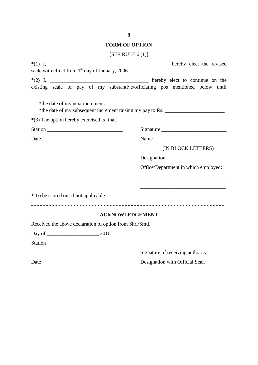#### **FORM OF OPTION**

| [SEE RULE $6(1)$ ] |
|--------------------|
|                    |

| 9                                                                                                                    |                                      |
|----------------------------------------------------------------------------------------------------------------------|--------------------------------------|
| <b>FORM OF OPTION</b>                                                                                                |                                      |
| [SEE RULE $6(1)$ ]                                                                                                   |                                      |
| scale with effect from 1 <sup>st</sup> day of January, 2006                                                          |                                      |
| existing scale of pay of my substantive/officiating pos mentioned below until                                        |                                      |
| *the date of my next increment.<br>*the date of my subsequent increment raising my pay to Rs. ______________________ |                                      |
| *(3) The option hereby exercised is final.                                                                           |                                      |
|                                                                                                                      |                                      |
|                                                                                                                      |                                      |
|                                                                                                                      | (IN BLOCK LETTERS)                   |
|                                                                                                                      | Designation                          |
|                                                                                                                      | Office/Department in which employed: |
| * To be scored out if not applicable                                                                                 |                                      |
| <b>ACKNOWLEDGEMENT</b>                                                                                               |                                      |
| Received the above declaration of option from Shri/Smti.                                                             |                                      |
|                                                                                                                      |                                      |
|                                                                                                                      |                                      |
|                                                                                                                      | Signature of receiving authority.    |
|                                                                                                                      | Designation with Official Seal.      |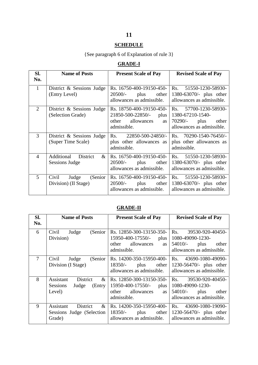## **SCHEDULE**

# {See paragraph 6 of Explanation of rule 3}

# **GRADE-I**

| <b>SCHEDULE</b>                            |                                                         |                                                                                                          |                                                                                                       |  |  |
|--------------------------------------------|---------------------------------------------------------|----------------------------------------------------------------------------------------------------------|-------------------------------------------------------------------------------------------------------|--|--|
| {See paragraph 6 of Explanation of rule 3} |                                                         |                                                                                                          |                                                                                                       |  |  |
|                                            |                                                         | <b>GRADE-I</b>                                                                                           |                                                                                                       |  |  |
| SI.<br>No.                                 | <b>Name of Posts</b><br><b>Present Scale of Pay</b>     |                                                                                                          | <b>Revised Scale of Pay</b>                                                                           |  |  |
| $\mathbf{1}$                               | District & Sessions Judge<br>(Entry Level)              | Rs. 16750-400-19150-450-<br>$20500/-$<br>plus<br>other<br>allowances as admissible.                      | 51550-1230-58930-<br>Rs.<br>$1380 - 63070$ /- plus other<br>allowances as admissible.                 |  |  |
| 2                                          | District & Sessions Judge<br>(Selection Grade)          | Rs. 18750-400-19150-450-<br>21850-500-22850/-<br>plus<br>other<br>allowances<br><b>as</b><br>admissible. | Rs.<br>57700-1230-58930-<br>1380-67210-1540-<br>70290/-<br>plus<br>other<br>allowances as admissible. |  |  |
| 3                                          | District & Sessions Judge<br>(Super Time Scale)         | Rs. $22850 - 500 - 24850/$<br>plus other allowances as<br>admissible.                                    | Rs. $70290 - 1540 - 76450/$<br>plus other allowances as<br>admissible.                                |  |  |
| $\overline{4}$                             | Additional<br><b>District</b><br>$\&$<br>Sessions Judge | Rs. 16750-400-19150-450-<br>$20500/-$<br>plus<br>other<br>allowances as admissible.                      | 51550-1230-58930-<br>$\operatorname{Rs.}$<br>1380-63070/- plus other<br>allowances as admissible.     |  |  |
| 5                                          | Civil<br>(Senior<br>Judge<br>Division) (II Stage)       | Rs. 16750-400-19150-450-<br>$20500/-$<br>plus<br>other<br>allowances as admissible.                      | 51550-1230-58930-<br>Rs.<br>1380-63070/- plus other<br>allowances as admissible.                      |  |  |

# **GRADE-II**

|                                    |                                                                        | allowances as admissible.                                                                            | allowances as admissible.                                                                        |  |
|------------------------------------|------------------------------------------------------------------------|------------------------------------------------------------------------------------------------------|--------------------------------------------------------------------------------------------------|--|
|                                    |                                                                        | <b>GRADE-II</b>                                                                                      |                                                                                                  |  |
| SI.<br><b>Name of Posts</b><br>No. |                                                                        | <b>Present Scale of Pay</b>                                                                          | <b>Revised Scale of Pay</b>                                                                      |  |
| 6                                  | (Senior)<br>Civil<br>Judge<br>Division)                                | Rs. 12850-300-13150-350-<br>15950-400-17550/- plus<br>other allowances<br>as<br>admissible.          | 39530-920-40450-<br>Rs.<br>1080-49090-1230-<br>$54010/-$ plus other<br>allowances as admissible. |  |
| $\overline{7}$                     | (Senior<br>Civil<br>Judge<br>Division (I Stage)                        | Rs. 14200-350-15950-400-<br>$18350/-$ plus other<br>allowances as admissible.                        | Rs. 43690-1080-49090-<br>1230-56470/- plus other<br>allowances as admissible.                    |  |
| 8                                  | Assistant<br>District<br>$\&$<br>Sessions<br>Judge<br>(Entry<br>Level) | Rs. 12850-300-13150-350-<br>$15950-400-17550/-$ plus<br>other allowances<br><b>as</b><br>admissible. | Rs. 39530-920-40450-<br>1080-49090-1230-<br>$54010/-$ plus other<br>allowances as admissible.    |  |
| 9                                  | Assistant<br>District<br>$\&$<br>Sessions Judge (Selection<br>Grade)   | Rs. 14200-350-15950-400-<br>$18350/-$ plus other<br>allowances as admissible.                        | Rs. 43690-1080-19090-<br>1230-56470/- plus other<br>allowances as admissible.                    |  |

# **11**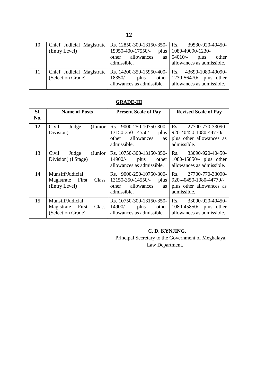|    |                                                | 12                                                                                                |                                                                                                      |
|----|------------------------------------------------|---------------------------------------------------------------------------------------------------|------------------------------------------------------------------------------------------------------|
| 10 | Chief Judicial Magistrate<br>(Entry Level)     | Rs. 12850-300-13150-350-<br>15950-400-17550/-<br>plus<br>allowances<br>other<br>as<br>admissible. | Rs.<br>39530-920-40450-<br>1080-49090-1230-<br>54010/-<br>plus<br>other<br>allowances as admissible. |
| 11 | Chief Judicial Magistrate<br>(Selection Grade) | Rs. 14200-350-15950-400-<br>$18350/-$<br>other<br>plus<br>allowances as admissible.               | 43690-1080-49090-<br>Rs.<br>1230-56470/- plus other<br>allowances as admissible.                     |

## **GRADE-III**

|            |                                                                    | <b>GRADE-III</b>                                                                                     |                                                                                              |  |
|------------|--------------------------------------------------------------------|------------------------------------------------------------------------------------------------------|----------------------------------------------------------------------------------------------|--|
| SI.<br>No. | <b>Name of Posts</b>                                               | <b>Present Scale of Pay</b>                                                                          | <b>Revised Scale of Pay</b>                                                                  |  |
| 12         | (Junior)<br>Civil<br>Judge<br>Division)                            | Rs. 9000-250-10750-300-<br>13150-350-14550/- plus<br>allowances<br>other<br><b>as</b><br>admissible. | 27700-770-33090-<br>Rs.<br>920-40450-1080-44770/-<br>plus other allowances as<br>admissible. |  |
| 13         | (Junior<br>Civil<br>Judge<br>Division) (I Stage)                   | Rs. 10750-300-13150-350-<br>14900/-<br>plus<br>other<br>allowances as admissible.                    | 33090-920-40450-<br>Rs.<br>1080-45850/- plus other<br>allowances as admissible.              |  |
| 14         | Munsiff/Judicial<br>Magistrate First<br>Class<br>(Entry Level)     | Rs. 9000-250-10750-300-<br>$13150-350-14550/$ - plus<br>other<br>allowances<br>as<br>admissible.     | Rs. 27700-770-33090-<br>920-40450-1080-44770/-<br>plus other allowances as<br>admissible.    |  |
| 15         | Munsiff/Judicial<br>Magistrate First<br>Class<br>(Selection Grade) | Rs. 10750-300-13150-350-<br>14900/-<br>plus<br>other<br>allowances as admissible.                    | 33090-920-40450-<br>Rs.<br>1080-45850/- plus other<br>allowances as admissible.              |  |

## **C. D. KYNJING,**

Principal Secretary to the Government of Meghalaya, Law Department.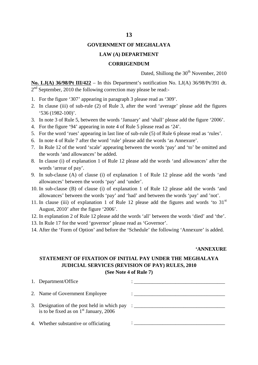#### **13**

#### **GOVERNMENT OF MEGHALAYA**

#### **LAW (A) DEPARTMENT**

#### **CORRIGENDUM**

Dated, Shillong the  $30<sup>th</sup>$  November, 2010

**No. LJ(A) 36/98/Pt III/422** – In this Department's notification No. LJ(A) 36/98/Pt/391 dt.<br>
2<sup>nd</sup> September, 2010 the following correction may please be read:-2<sup>nd</sup> September, 2010 the following correction may please be read:-

- 1. For the figure '307' appearing in paragraph 3 please read as '309'.
- **2. ISONALUARE (2018)** Dated, similarly and 36/98/Pt/391 dt.<br>
2<sup>nd</sup> September, 2010 the following correction may please be read:-<br>
1. For the figure '307' appearing in paragraph 3 please read as '309'.<br>
2. In clause (iii) '536 (1982-100)'. <sup>2nd</sup> September, 2010 the following correction may please be read:-<br>1. For the figure '307' appearing in paragraph 3 please read as '309'.<br>2. In clause (iii) of sub-rule (2) of Rule 3, after the word 'average' please add 6. In note 3 of Rule 5, between the words 'January' and 'shall' please add the figure<br>4. For the figure '94' appearing in note 4 of Rule 5 please read as '24'.<br>5. For the word 'rues' appearing in last line of sub-rule (5)
- 
- 4. For the figure '94' appearing in note 4 of Rule 5 please read as '24'.
- 5. For the word 'rues' appearing in last line of sub-rule (5) of Rule 6 please read as 'rules'.
- 
- 7. In Rule 12 of the word 'scale' appearing between the words 'pay' and 'to' be omitted and the words 'and allowances' be added.
- 8. For the word 'rues' appearing in last line of sub-rule (5) of Rule 6 please read as 'rules'.<br>
8. In note 4 of Rule 7 after the word 'rule' please add the words 'as Annexure'.<br>
7. In Rule 12 of the word 'scale' appearing words 'arrear of pay'.
- 1. In Rule 12 of the word 'scale' appearing between the words 'pay' and 'to' be omitted and<br>the words 'and allowances' be added.<br>8. In clause (i) of explanation 1 of Rule 12 please add the words 'and allowances' after the<br> allowances' between the words 'pay' and 'under'. 10. In clause (i) of explanation 1 of Rule 12 please add the words 'and allowances' after the words 'arrear of pay'.<br>
9. In sub-clause (A) of clause (i) of explanation 1 of Rule 12 please add the words 'and allowances' bet words 'arrear of pay'.<br>In sub-clause (A) of clause (i) of explanation 1 of Rule 12 please add the words 'and<br>allowances' between the words 'pay' and 'under'.<br>In sub-clause (B) of clause (i) of explanation 1 of Rule 12 plea
- 10. In sub-clause (B) of clause (i) of explanation 1 of Rule 12 please add the words 'and allowances' between the words 'pay' and 'had' and between the words 'pay' and 'not'.<br>11. In clause (iii) of explanation 1 of Rule 1
- 11. In clause (iii) of explanation 1 of Rule 12 please add the figures and words 'to  $31<sup>st</sup>$ August, 2010' after the figure '2006'.
- 
- 13. In Rule 17 for the word 'governor' please read as 'Governor'.
- 

#### **'ANNEXURE**

# 14. After the 'Form of Option' and before the 'Schedule' the following 'Annexure' is added.<br>
4 **STATEMENT OF FIXATION OF INITIAL PAY UNDER THE MEGHALAYA**<br> **STATEMENT OF FIXATION OF INITIAL PAY UNDER THE MEGHALAYA JUDICIAL SERVICES (REVISION OF PAY) RULES, 2010** STATEMENT OF FIXATION OF INITIAL PAY UNDER THE MEGHALAYA<br>JUDICIAL SERVICES (REVISION OF PAY) RULES, 2010<br>(See Note 4 of Rule 7)<br>1. Department/Office<br> $\begin{bmatrix} 1 & 1 \end{bmatrix}$ <br> $\begin{bmatrix} 1 & 1 \end{bmatrix}$

#### **(See Note 4 of Rule 7)**

| <b>JUDICIAL SERVICES (REVISION OF PAY) RULES, 2010</b><br>(See Note 4 of Rule 7)                                             |                                                                                                                                                                                                                                           |  |  |
|------------------------------------------------------------------------------------------------------------------------------|-------------------------------------------------------------------------------------------------------------------------------------------------------------------------------------------------------------------------------------------|--|--|
| 1. Department/Office                                                                                                         |                                                                                                                                                                                                                                           |  |  |
| 2. Name of Government Employee                                                                                               | $\ddotsc$ . The contract of the contract of the contract of the contract of the contract of the contract of the contract of the contract of the contract of the contract of the contract of the contract of the contract of the           |  |  |
| 3. Designation of the post held in which pay : _________________________________<br>is to be fixed as on $1st$ January, 2006 |                                                                                                                                                                                                                                           |  |  |
| 4. Whether substantive or officiating                                                                                        | $\mathcal{L}^{\mathcal{L}}$ and the set of the set of the set of the set of the set of the set of the set of the set of the set of the set of the set of the set of the set of the set of the set of the set of the set of the set of the |  |  |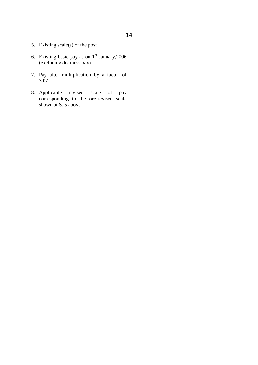|                                                                  | 14 |
|------------------------------------------------------------------|----|
| 5. Existing scale(s) of the post                                 |    |
| (excluding dearness pay)                                         |    |
| 7. Pay after multiplication by a factor of $\frac{1}{2}$<br>3.07 |    |
| corresponding to the ore-revised scale<br>shown at S. 5 above.   |    |

# **14**